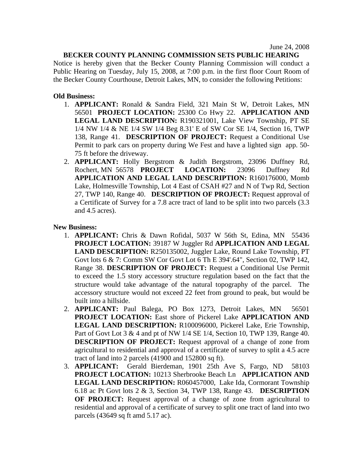## **BECKER COUNTY PLANNING COMMISSION SETS PUBLIC HEARING**

Notice is hereby given that the Becker County Planning Commission will conduct a Public Hearing on Tuesday, July 15, 2008, at 7:00 p.m. in the first floor Court Room of the Becker County Courthouse, Detroit Lakes, MN, to consider the following Petitions:

## **Old Business:**

- 1. **APPLICANT:** Ronald & Sandra Field, 321 Main St W, Detroit Lakes, MN 56501 **PROJECT LOCATION:** 25300 Co Hwy 22. **APPLICATION AND LEGAL LAND DESCRIPTION:** R190321001, Lake View Township, PT SE 1/4 NW 1/4 & NE 1/4 SW 1/4 Beg 8.31' E of SW Cor SE 1/4, Section 16, TWP 138, Range 41. **DESCRIPTION OF PROJECT:** Request a Conditional Use Permit to park cars on property during We Fest and have a lighted sign app. 50- 75 ft before the driveway.
- 2. **APPLICANT:** Holly Bergstrom & Judith Bergstrom, 23096 Duffney Rd, Rochert, MN 56578 **PROJECT LOCATION:** 23096 Duffney Rd **APPLICATION AND LEGAL LAND DESCRIPTION:** R160176000, Momb Lake, Holmesville Township, Lot 4 East of CSAH #27 and N of Twp Rd, Section 27, TWP 140, Range 40. **DESCRIPTION OF PROJECT:** Request approval of a Certificate of Survey for a 7.8 acre tract of land to be split into two parcels (3.3 and 4.5 acres).

## **New Business:**

- 1. **APPLICANT:** Chris & Dawn Rofidal, 5037 W 56th St, Edina, MN 55436 **PROJECT LOCATION:** 39187 W Juggler Rd **APPLICATION AND LEGAL LAND DESCRIPTION:** R250135002, Juggler Lake, Round Lake Township, PT Govt lots 6 & 7: Comm SW Cor Govt Lot 6 Th E 394'.64", Section 02, TWP 142, Range 38. **DESCRIPTION OF PROJECT:** Request a Conditional Use Permit to exceed the 1.5 story accessory structure regulation based on the fact that the structure would take advantage of the natural topography of the parcel. The accessory structure would not exceed 22 feet from ground to peak, but would be built into a hillside.
- 2. **APPLICANT:** Paul Balega, PO Box 1273, Detroit Lakes, MN 56501 **PROJECT LOCATION:** East shore of Pickerel Lake **APPLICATION AND LEGAL LAND DESCRIPTION:** R100096000, Pickerel Lake, Erie Township, Part of Govt Lot 3 & 4 and pt of NW 1/4 SE 1/4, Section 10, TWP 139, Range 40. **DESCRIPTION OF PROJECT:** Request approval of a change of zone from agricultural to residential and approval of a certificate of survey to split a 4.5 acre tract of land into 2 parcels (41900 and 152800 sq ft).
- 3. **APPLICANT:** Gerald Bierdeman, 1901 25th Ave S, Fargo, ND 58103 **PROJECT LOCATION:** 10213 Sherbrooke Beach Ln **APPLICATION AND LEGAL LAND DESCRIPTION:** R060457000, Lake Ida, Cormorant Township 6.18 ac Pt Govt lots 2 & 3, Section 34, TWP 138, Range 43. **DESCRIPTION OF PROJECT:** Request approval of a change of zone from agricultural to residential and approval of a certificate of survey to split one tract of land into two parcels (43649 sq ft amd 5.17 ac).